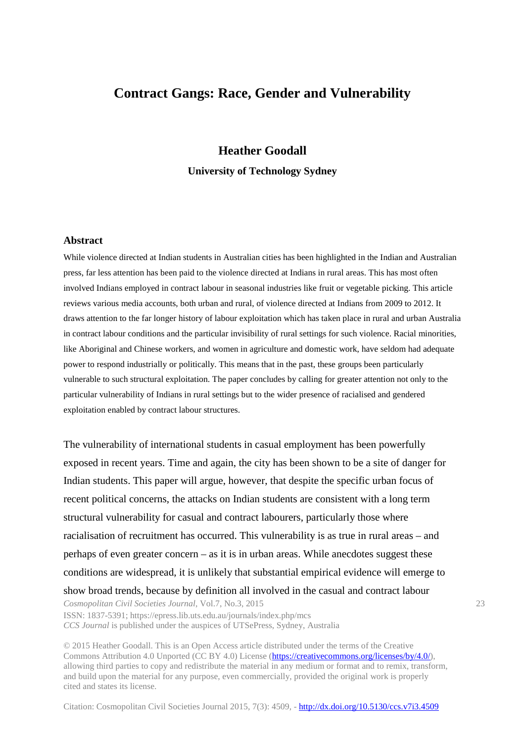## **Contract Gangs: Race, Gender and Vulnerability**

## **Heather Goodall University of Technology Sydney**

## **Abstract**

While violence directed at Indian students in Australian cities has been highlighted in the Indian and Australian press, far less attention has been paid to the violence directed at Indians in rural areas. This has most often involved Indians employed in contract labour in seasonal industries like fruit or vegetable picking. This article reviews various media accounts, both urban and rural, of violence directed at Indians from 2009 to 2012. It draws attention to the far longer history of labour exploitation which has taken place in rural and urban Australia in contract labour conditions and the particular invisibility of rural settings for such violence. Racial minorities, like Aboriginal and Chinese workers, and women in agriculture and domestic work, have seldom had adequate power to respond industrially or politically. This means that in the past, these groups been particularly vulnerable to such structural exploitation. The paper concludes by calling for greater attention not only to the particular vulnerability of Indians in rural settings but to the wider presence of racialised and gendered exploitation enabled by contract labour structures.

The vulnerability of international students in casual employment has been powerfully exposed in recent years. Time and again, the city has been shown to be a site of danger for Indian students. This paper will argue, however, that despite the specific urban focus of recent political concerns, the attacks on Indian students are consistent with a long term structural vulnerability for casual and contract labourers, particularly those where racialisation of recruitment has occurred. This vulnerability is as true in rural areas – and perhaps of even greater concern – as it is in urban areas. While anecdotes suggest these conditions are widespread, it is unlikely that substantial empirical evidence will emerge to show broad trends, because by definition all involved in the casual and contract labour *Cosmopolitan Civil Societies Journal*, Vol.7, No.3, 2015 23

ISSN: 1837-5391; https://epress.lib.uts.edu.au/journals/index.php/mcs *CCS Journal* is published under the auspices of UTSePress, Sydney, Australia

© 2015 Heather Goodall. This is an Open Access article distributed under the terms of the Creative Commons Attribution 4.0 Unported (CC BY 4.0) License [\(https://creativecommons.org/licenses/by/4.0/\)](https://creativecommons.org/licenses/by/4.0/), allowing third parties to copy and redistribute the material in any medium or format and to remix, transform, and build upon the material for any purpose, even commercially, provided the original work is properly cited and states its license.

Citation: Cosmopolitan Civil Societies Journal 2015, 7(3): 4509, - <http://dx.doi.org/10.5130/ccs.v7i3.4509>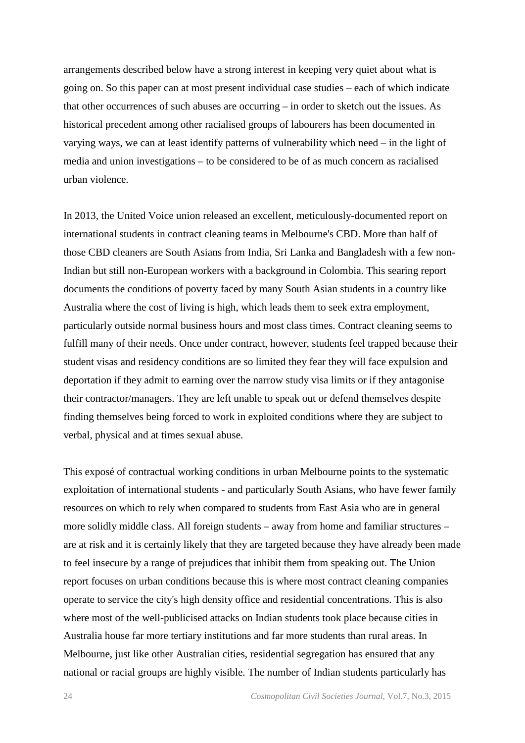arrangements described below have a strong interest in keeping very quiet about what is going on. So this paper can at most present individual case studies – each of which indicate that other occurrences of such abuses are occurring – in order to sketch out the issues. As historical precedent among other racialised groups of labourers has been documented in varying ways, we can at least identify patterns of vulnerability which need – in the light of media and union investigations – to be considered to be of as much concern as racialised urban violence.

In 2013, the United Voice union released an excellent, meticulously-documented report on international students in contract cleaning teams in Melbourne's CBD. More than half of those CBD cleaners are South Asians from India, Sri Lanka and Bangladesh with a few non-Indian but still non-European workers with a background in Colombia. This searing report documents the conditions of poverty faced by many South Asian students in a country like Australia where the cost of living is high, which leads them to seek extra employment, particularly outside normal business hours and most class times. Contract cleaning seems to fulfill many of their needs. Once under contract, however, students feel trapped because their student visas and residency conditions are so limited they fear they will face expulsion and deportation if they admit to earning over the narrow study visa limits or if they antagonise their contractor/managers. They are left unable to speak out or defend themselves despite finding themselves being forced to work in exploited conditions where they are subject to verbal, physical and at times sexual abuse.

This exposé of contractual working conditions in urban Melbourne points to the systematic exploitation of international students - and particularly South Asians, who have fewer family resources on which to rely when compared to students from East Asia who are in general more solidly middle class. All foreign students – away from home and familiar structures – are at risk and it is certainly likely that they are targeted because they have already been made to feel insecure by a range of prejudices that inhibit them from speaking out. The Union report focuses on urban conditions because this is where most contract cleaning companies operate to service the city's high density office and residential concentrations. This is also where most of the well-publicised attacks on Indian students took place because cities in Australia house far more tertiary institutions and far more students than rural areas. In Melbourne, just like other Australian cities, residential segregation has ensured that any national or racial groups are highly visible. The number of Indian students particularly has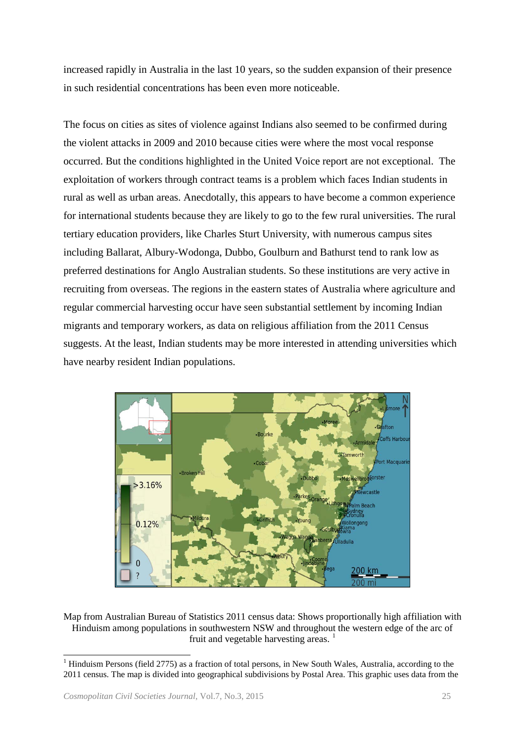increased rapidly in Australia in the last 10 years, so the sudden expansion of their presence in such residential concentrations has been even more noticeable.

The focus on cities as sites of violence against Indians also seemed to be confirmed during the violent attacks in 2009 and 2010 because cities were where the most vocal response occurred. But the conditions highlighted in the United Voice report are not exceptional. The exploitation of workers through contract teams is a problem which faces Indian students in rural as well as urban areas. Anecdotally, this appears to have become a common experience for international students because they are likely to go to the few rural universities. The rural tertiary education providers, like Charles Sturt University, with numerous campus sites including Ballarat, Albury-Wodonga, Dubbo, Goulburn and Bathurst tend to rank low as preferred destinations for Anglo Australian students. So these institutions are very active in recruiting from overseas. The regions in the eastern states of Australia where agriculture and regular commercial harvesting occur have seen substantial settlement by incoming Indian migrants and temporary workers, as data on religious affiliation from the 2011 Census suggests. At the least, Indian students may be more interested in attending universities which have nearby resident Indian populations.



Map from Australian Bureau of Statistics 2011 census data: Shows proportionally high affiliation with Hinduism among populations in southwestern NSW and throughout the western edge of the arc of fruit and vegetable harvesting areas.  $\frac{1}{1}$  $\frac{1}{1}$  $\frac{1}{1}$ 

<span id="page-2-0"></span><sup>&</sup>lt;sup>1</sup> Hinduism Persons (field 2775) as a fraction of total persons, in New South Wales, Australia, according to the 2011 census. The map is divided into geographical subdivisions by Postal Area. This graphic uses data from the 1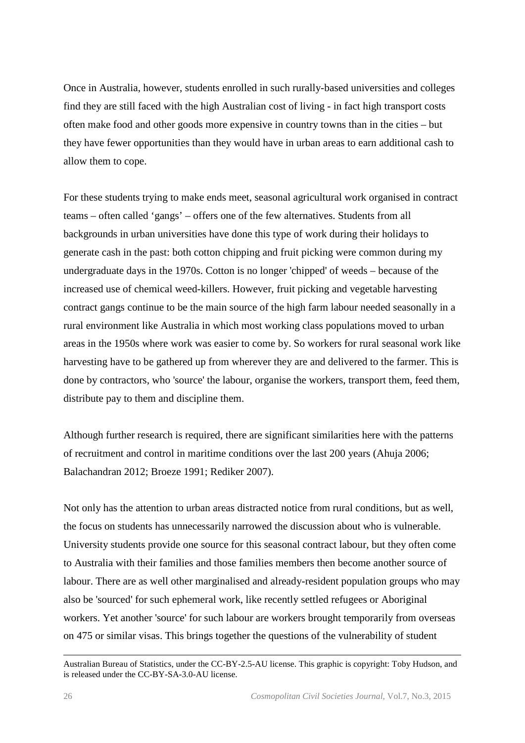Once in Australia, however, students enrolled in such rurally-based universities and colleges find they are still faced with the high Australian cost of living - in fact high transport costs often make food and other goods more expensive in country towns than in the cities – but they have fewer opportunities than they would have in urban areas to earn additional cash to allow them to cope.

For these students trying to make ends meet, seasonal agricultural work organised in contract teams – often called 'gangs' – offers one of the few alternatives. Students from all backgrounds in urban universities have done this type of work during their holidays to generate cash in the past: both cotton chipping and fruit picking were common during my undergraduate days in the 1970s. Cotton is no longer 'chipped' of weeds – because of the increased use of chemical weed-killers. However, fruit picking and vegetable harvesting contract gangs continue to be the main source of the high farm labour needed seasonally in a rural environment like Australia in which most working class populations moved to urban areas in the 1950s where work was easier to come by. So workers for rural seasonal work like harvesting have to be gathered up from wherever they are and delivered to the farmer. This is done by contractors, who 'source' the labour, organise the workers, transport them, feed them, distribute pay to them and discipline them.

Although further research is required, there are significant similarities here with the patterns of recruitment and control in maritime conditions over the last 200 years (Ahuja 2006; Balachandran 2012; Broeze 1991; Rediker 2007).

Not only has the attention to urban areas distracted notice from rural conditions, but as well, the focus on students has unnecessarily narrowed the discussion about who is vulnerable. University students provide one source for this seasonal contract labour, but they often come to Australia with their families and those families members then become another source of labour. There are as well other marginalised and already-resident population groups who may also be 'sourced' for such ephemeral work, like recently settled refugees or Aboriginal workers. Yet another 'source' for such labour are workers brought temporarily from overseas on 475 or similar visas. This brings together the questions of the vulnerability of student

1

Australian Bureau of Statistics, under the CC-BY-2.5-AU license. This graphic is copyright: Toby Hudson, and is released under the CC-BY-SA-3.0-AU license.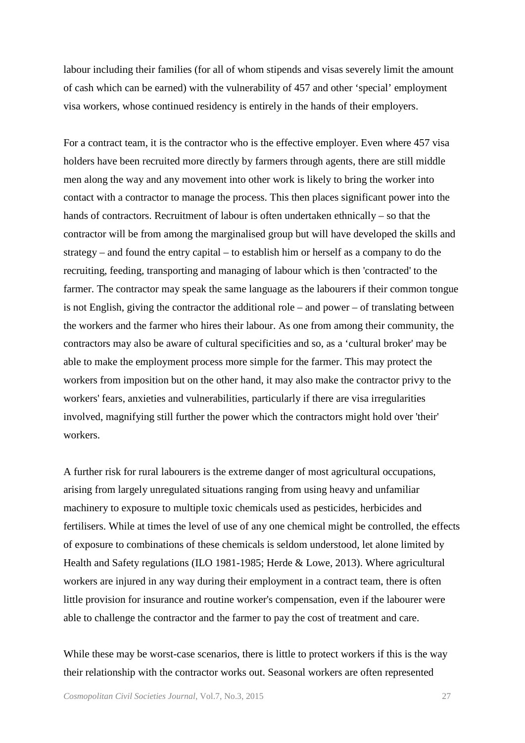labour including their families (for all of whom stipends and visas severely limit the amount of cash which can be earned) with the vulnerability of 457 and other 'special' employment visa workers, whose continued residency is entirely in the hands of their employers.

For a contract team, it is the contractor who is the effective employer. Even where 457 visa holders have been recruited more directly by farmers through agents, there are still middle men along the way and any movement into other work is likely to bring the worker into contact with a contractor to manage the process. This then places significant power into the hands of contractors. Recruitment of labour is often undertaken ethnically – so that the contractor will be from among the marginalised group but will have developed the skills and strategy – and found the entry capital – to establish him or herself as a company to do the recruiting, feeding, transporting and managing of labour which is then 'contracted' to the farmer. The contractor may speak the same language as the labourers if their common tongue is not English, giving the contractor the additional role – and power – of translating between the workers and the farmer who hires their labour. As one from among their community, the contractors may also be aware of cultural specificities and so, as a 'cultural broker' may be able to make the employment process more simple for the farmer. This may protect the workers from imposition but on the other hand, it may also make the contractor privy to the workers' fears, anxieties and vulnerabilities, particularly if there are visa irregularities involved, magnifying still further the power which the contractors might hold over 'their' workers.

A further risk for rural labourers is the extreme danger of most agricultural occupations, arising from largely unregulated situations ranging from using heavy and unfamiliar machinery to exposure to multiple toxic chemicals used as pesticides, herbicides and fertilisers. While at times the level of use of any one chemical might be controlled, the effects of exposure to combinations of these chemicals is seldom understood, let alone limited by Health and Safety regulations (ILO 1981-1985; Herde & Lowe, 2013). Where agricultural workers are injured in any way during their employment in a contract team, there is often little provision for insurance and routine worker's compensation, even if the labourer were able to challenge the contractor and the farmer to pay the cost of treatment and care.

While these may be worst-case scenarios, there is little to protect workers if this is the way their relationship with the contractor works out. Seasonal workers are often represented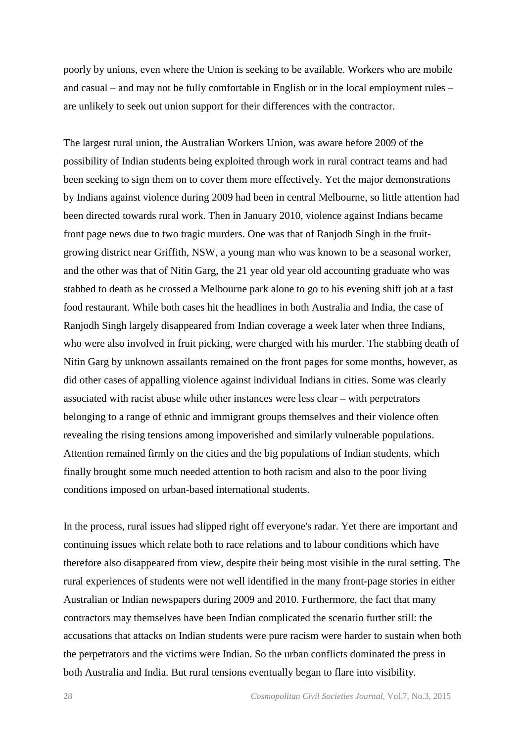poorly by unions, even where the Union is seeking to be available. Workers who are mobile and casual – and may not be fully comfortable in English or in the local employment rules – are unlikely to seek out union support for their differences with the contractor.

The largest rural union, the Australian Workers Union, was aware before 2009 of the possibility of Indian students being exploited through work in rural contract teams and had been seeking to sign them on to cover them more effectively. Yet the major demonstrations by Indians against violence during 2009 had been in central Melbourne, so little attention had been directed towards rural work. Then in January 2010, violence against Indians became front page news due to two tragic murders. One was that of Ranjodh Singh in the fruitgrowing district near Griffith, NSW, a young man who was known to be a seasonal worker, and the other was that of Nitin Garg, the 21 year old year old accounting graduate who was stabbed to death as he crossed a Melbourne park alone to go to his evening shift job at a fast food restaurant. While both cases hit the headlines in both Australia and India, the case of Ranjodh Singh largely disappeared from Indian coverage a week later when three Indians, who were also involved in fruit picking, were charged with his murder. The stabbing death of Nitin Garg by unknown assailants remained on the front pages for some months, however, as did other cases of appalling violence against individual Indians in cities. Some was clearly associated with racist abuse while other instances were less clear – with perpetrators belonging to a range of ethnic and immigrant groups themselves and their violence often revealing the rising tensions among impoverished and similarly vulnerable populations. Attention remained firmly on the cities and the big populations of Indian students, which finally brought some much needed attention to both racism and also to the poor living conditions imposed on urban-based international students.

In the process, rural issues had slipped right off everyone's radar. Yet there are important and continuing issues which relate both to race relations and to labour conditions which have therefore also disappeared from view, despite their being most visible in the rural setting. The rural experiences of students were not well identified in the many front-page stories in either Australian or Indian newspapers during 2009 and 2010. Furthermore, the fact that many contractors may themselves have been Indian complicated the scenario further still: the accusations that attacks on Indian students were pure racism were harder to sustain when both the perpetrators and the victims were Indian. So the urban conflicts dominated the press in both Australia and India. But rural tensions eventually began to flare into visibility.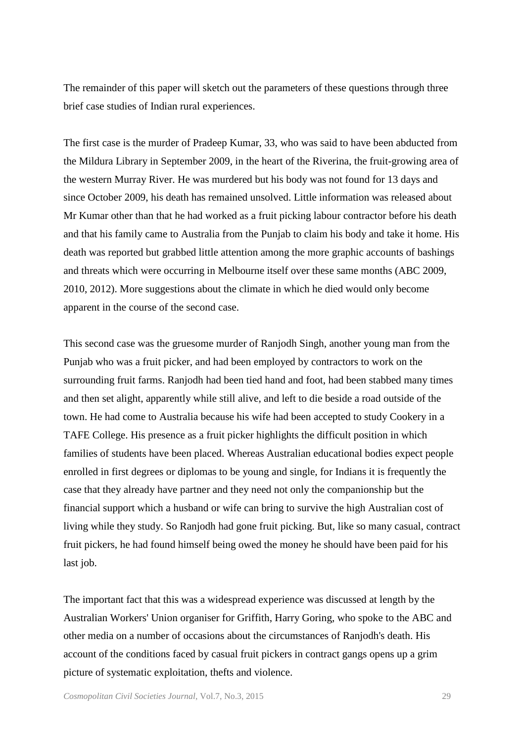The remainder of this paper will sketch out the parameters of these questions through three brief case studies of Indian rural experiences.

The first case is the murder of Pradeep Kumar, 33, who was said to have been abducted from the Mildura Library in September 2009, in the heart of the Riverina, the fruit-growing area of the western Murray River. He was murdered but his body was not found for 13 days and since October 2009, his death has remained unsolved. Little information was released about Mr Kumar other than that he had worked as a fruit picking labour contractor before his death and that his family came to Australia from the Punjab to claim his body and take it home. His death was reported but grabbed little attention among the more graphic accounts of bashings and threats which were occurring in Melbourne itself over these same months (ABC 2009, 2010, 2012). More suggestions about the climate in which he died would only become apparent in the course of the second case.

This second case was the gruesome murder of Ranjodh Singh, another young man from the Punjab who was a fruit picker, and had been employed by contractors to work on the surrounding fruit farms. Ranjodh had been tied hand and foot, had been stabbed many times and then set alight, apparently while still alive, and left to die beside a road outside of the town. He had come to Australia because his wife had been accepted to study Cookery in a TAFE College. His presence as a fruit picker highlights the difficult position in which families of students have been placed. Whereas Australian educational bodies expect people enrolled in first degrees or diplomas to be young and single, for Indians it is frequently the case that they already have partner and they need not only the companionship but the financial support which a husband or wife can bring to survive the high Australian cost of living while they study. So Ranjodh had gone fruit picking. But, like so many casual, contract fruit pickers, he had found himself being owed the money he should have been paid for his last job.

The important fact that this was a widespread experience was discussed at length by the Australian Workers' Union organiser for Griffith, Harry Goring, who spoke to the ABC and other media on a number of occasions about the circumstances of Ranjodh's death. His account of the conditions faced by casual fruit pickers in contract gangs opens up a grim picture of systematic exploitation, thefts and violence.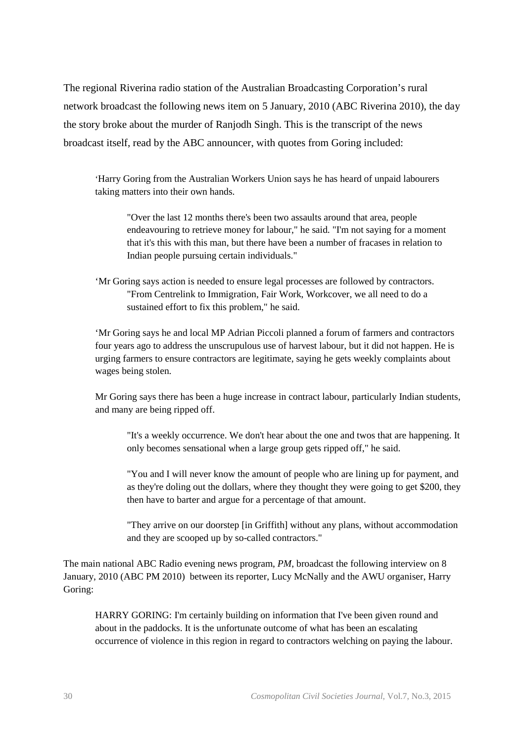The regional Riverina radio station of the Australian Broadcasting Corporation's rural network broadcast the following news item on 5 January, 2010 (ABC Riverina 2010), the day the story broke about the murder of Ranjodh Singh. This is the transcript of the news broadcast itself, read by the ABC announcer, with quotes from Goring included:

'Harry Goring from the Australian Workers Union says he has heard of unpaid labourers taking matters into their own hands.

"Over the last 12 months there's been two assaults around that area, people endeavouring to retrieve money for labour," he said. "I'm not saying for a moment that it's this with this man, but there have been a number of fracases in relation to Indian people pursuing certain individuals."

'Mr Goring says action is needed to ensure legal processes are followed by contractors. "From Centrelink to Immigration, Fair Work, Workcover, we all need to do a sustained effort to fix this problem," he said.

'Mr Goring says he and local MP Adrian Piccoli planned a forum of farmers and contractors four years ago to address the unscrupulous use of harvest labour, but it did not happen. He is urging farmers to ensure contractors are legitimate, saying he gets weekly complaints about wages being stolen.

Mr Goring says there has been a huge increase in contract labour, particularly Indian students, and many are being ripped off.

"It's a weekly occurrence. We don't hear about the one and twos that are happening. It only becomes sensational when a large group gets ripped off," he said.

"You and I will never know the amount of people who are lining up for payment, and as they're doling out the dollars, where they thought they were going to get \$200, they then have to barter and argue for a percentage of that amount.

"They arrive on our doorstep [in Griffith] without any plans, without accommodation and they are scooped up by so-called contractors."

The main national ABC Radio evening news program, *PM*, broadcast the following interview on 8 January, 2010 (ABC PM 2010) between its reporter, Lucy McNally and the AWU organiser, Harry Goring:

HARRY GORING: I'm certainly building on information that I've been given round and about in the paddocks. It is the unfortunate outcome of what has been an escalating occurrence of violence in this region in regard to contractors welching on paying the labour.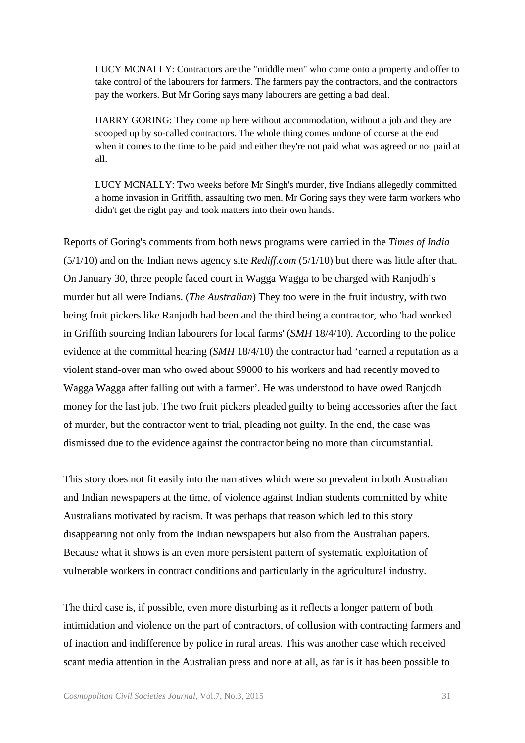LUCY MCNALLY: Contractors are the "middle men" who come onto a property and offer to take control of the labourers for farmers. The farmers pay the contractors, and the contractors pay the workers. But Mr Goring says many labourers are getting a bad deal.

HARRY GORING: They come up here without accommodation, without a job and they are scooped up by so-called contractors. The whole thing comes undone of course at the end when it comes to the time to be paid and either they're not paid what was agreed or not paid at all.

LUCY MCNALLY: Two weeks before Mr Singh's murder, five Indians allegedly committed a home invasion in Griffith, assaulting two men. Mr Goring says they were farm workers who didn't get the right pay and took matters into their own hands.

Reports of Goring's comments from both news programs were carried in the *Times of India* (5/1/10) and on the Indian news agency site *Rediff.com* (5/1/10) but there was little after that. On January 30, three people faced court in Wagga Wagga to be charged with Ranjodh's murder but all were Indians. (*The Australian*) They too were in the fruit industry, with two being fruit pickers like Ranjodh had been and the third being a contractor, who 'had worked in Griffith sourcing Indian labourers for local farms' (*SMH* 18/4/10). According to the police evidence at the committal hearing (*SMH* 18/4/10) the contractor had 'earned a reputation as a violent stand-over man who owed about \$9000 to his workers and had recently moved to Wagga Wagga after falling out with a farmer'. He was understood to have owed Ranjodh money for the last job. The two fruit pickers pleaded guilty to being accessories after the fact of murder, but the contractor went to trial, pleading not guilty. In the end, the case was dismissed due to the evidence against the contractor being no more than circumstantial.

This story does not fit easily into the narratives which were so prevalent in both Australian and Indian newspapers at the time, of violence against Indian students committed by white Australians motivated by racism. It was perhaps that reason which led to this story disappearing not only from the Indian newspapers but also from the Australian papers. Because what it shows is an even more persistent pattern of systematic exploitation of vulnerable workers in contract conditions and particularly in the agricultural industry.

The third case is, if possible, even more disturbing as it reflects a longer pattern of both intimidation and violence on the part of contractors, of collusion with contracting farmers and of inaction and indifference by police in rural areas. This was another case which received scant media attention in the Australian press and none at all, as far is it has been possible to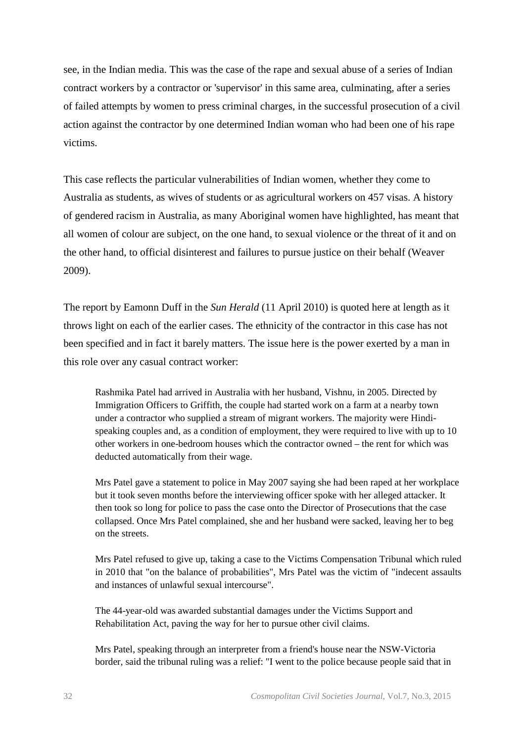see, in the Indian media. This was the case of the rape and sexual abuse of a series of Indian contract workers by a contractor or 'supervisor' in this same area, culminating, after a series of failed attempts by women to press criminal charges, in the successful prosecution of a civil action against the contractor by one determined Indian woman who had been one of his rape victims.

This case reflects the particular vulnerabilities of Indian women, whether they come to Australia as students, as wives of students or as agricultural workers on 457 visas. A history of gendered racism in Australia, as many Aboriginal women have highlighted, has meant that all women of colour are subject, on the one hand, to sexual violence or the threat of it and on the other hand, to official disinterest and failures to pursue justice on their behalf (Weaver 2009).

The report by Eamonn Duff in the *Sun Herald* (11 April 2010) is quoted here at length as it throws light on each of the earlier cases. The ethnicity of the contractor in this case has not been specified and in fact it barely matters. The issue here is the power exerted by a man in this role over any casual contract worker:

Rashmika Patel had arrived in Australia with her husband, Vishnu, in 2005. Directed by Immigration Officers to Griffith, the couple had started work on a farm at a nearby town under a contractor who supplied a stream of migrant workers. The majority were Hindispeaking couples and, as a condition of employment, they were required to live with up to 10 other workers in one-bedroom houses which the contractor owned – the rent for which was deducted automatically from their wage.

Mrs Patel gave a statement to police in May 2007 saying she had been raped at her workplace but it took seven months before the interviewing officer spoke with her alleged attacker. It then took so long for police to pass the case onto the Director of Prosecutions that the case collapsed. Once Mrs Patel complained, she and her husband were sacked, leaving her to beg on the streets.

Mrs Patel refused to give up, taking a case to the Victims Compensation Tribunal which ruled in 2010 that "on the balance of probabilities", Mrs Patel was the victim of "indecent assaults and instances of unlawful sexual intercourse".

The 44-year-old was awarded substantial damages under the Victims Support and Rehabilitation Act, paving the way for her to pursue other civil claims.

Mrs Patel, speaking through an interpreter from a friend's house near the NSW-Victoria border, said the tribunal ruling was a relief: "I went to the police because people said that in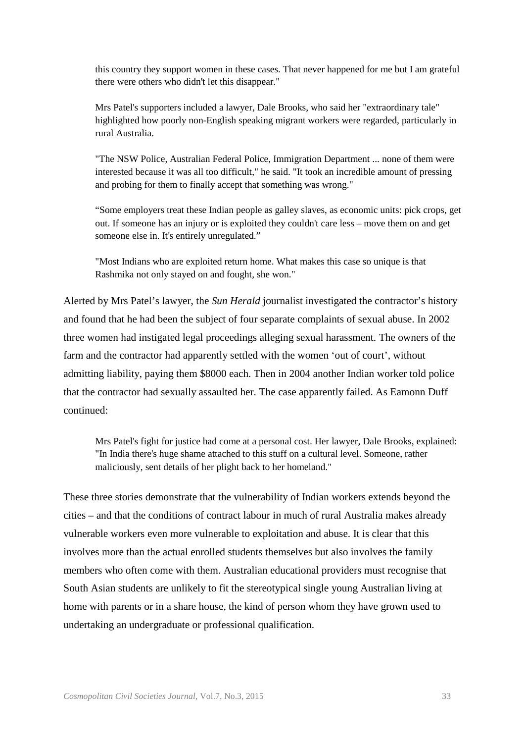this country they support women in these cases. That never happened for me but I am grateful there were others who didn't let this disappear."

Mrs Patel's supporters included a lawyer, Dale Brooks, who said her "extraordinary tale" highlighted how poorly non-English speaking migrant workers were regarded, particularly in rural Australia.

"The NSW Police, Australian Federal Police, Immigration Department ... none of them were interested because it was all too difficult," he said. "It took an incredible amount of pressing and probing for them to finally accept that something was wrong."

"Some employers treat these Indian people as galley slaves, as economic units: pick crops, get out. If someone has an injury or is exploited they couldn't care less – move them on and get someone else in. It's entirely unregulated."

"Most Indians who are exploited return home. What makes this case so unique is that Rashmika not only stayed on and fought, she won."

Alerted by Mrs Patel's lawyer, the *Sun Herald* journalist investigated the contractor's history and found that he had been the subject of four separate complaints of sexual abuse. In 2002 three women had instigated legal proceedings alleging sexual harassment. The owners of the farm and the contractor had apparently settled with the women 'out of court', without admitting liability, paying them \$8000 each. Then in 2004 another Indian worker told police that the contractor had sexually assaulted her. The case apparently failed. As Eamonn Duff continued:

Mrs Patel's fight for justice had come at a personal cost. Her lawyer, Dale Brooks, explained: "In India there's huge shame attached to this stuff on a cultural level. Someone, rather maliciously, sent details of her plight back to her homeland."

These three stories demonstrate that the vulnerability of Indian workers extends beyond the cities – and that the conditions of contract labour in much of rural Australia makes already vulnerable workers even more vulnerable to exploitation and abuse. It is clear that this involves more than the actual enrolled students themselves but also involves the family members who often come with them. Australian educational providers must recognise that South Asian students are unlikely to fit the stereotypical single young Australian living at home with parents or in a share house, the kind of person whom they have grown used to undertaking an undergraduate or professional qualification.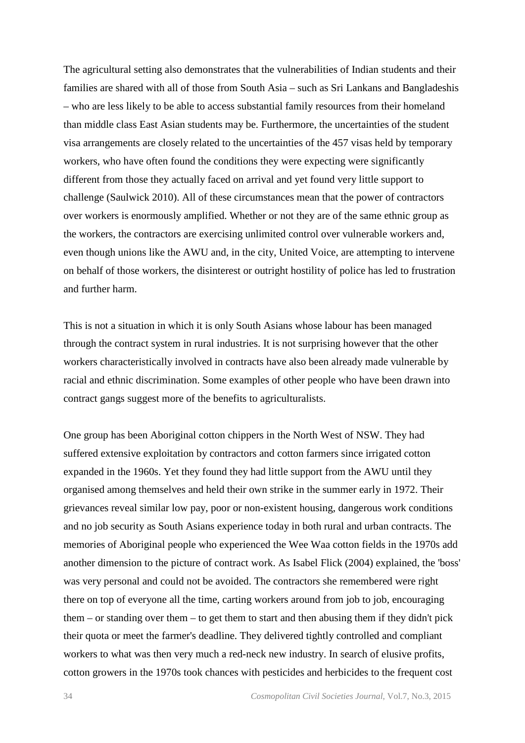The agricultural setting also demonstrates that the vulnerabilities of Indian students and their families are shared with all of those from South Asia – such as Sri Lankans and Bangladeshis – who are less likely to be able to access substantial family resources from their homeland than middle class East Asian students may be. Furthermore, the uncertainties of the student visa arrangements are closely related to the uncertainties of the 457 visas held by temporary workers, who have often found the conditions they were expecting were significantly different from those they actually faced on arrival and yet found very little support to challenge (Saulwick 2010). All of these circumstances mean that the power of contractors over workers is enormously amplified. Whether or not they are of the same ethnic group as the workers, the contractors are exercising unlimited control over vulnerable workers and, even though unions like the AWU and, in the city, United Voice, are attempting to intervene on behalf of those workers, the disinterest or outright hostility of police has led to frustration and further harm.

This is not a situation in which it is only South Asians whose labour has been managed through the contract system in rural industries. It is not surprising however that the other workers characteristically involved in contracts have also been already made vulnerable by racial and ethnic discrimination. Some examples of other people who have been drawn into contract gangs suggest more of the benefits to agriculturalists.

One group has been Aboriginal cotton chippers in the North West of NSW. They had suffered extensive exploitation by contractors and cotton farmers since irrigated cotton expanded in the 1960s. Yet they found they had little support from the AWU until they organised among themselves and held their own strike in the summer early in 1972. Their grievances reveal similar low pay, poor or non-existent housing, dangerous work conditions and no job security as South Asians experience today in both rural and urban contracts. The memories of Aboriginal people who experienced the Wee Waa cotton fields in the 1970s add another dimension to the picture of contract work. As Isabel Flick (2004) explained, the 'boss' was very personal and could not be avoided. The contractors she remembered were right there on top of everyone all the time, carting workers around from job to job, encouraging them – or standing over them – to get them to start and then abusing them if they didn't pick their quota or meet the farmer's deadline. They delivered tightly controlled and compliant workers to what was then very much a red-neck new industry. In search of elusive profits, cotton growers in the 1970s took chances with pesticides and herbicides to the frequent cost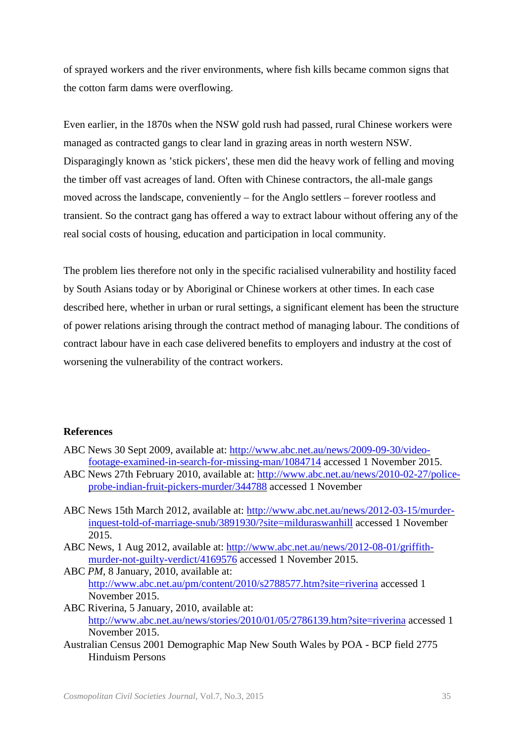of sprayed workers and the river environments, where fish kills became common signs that the cotton farm dams were overflowing.

Even earlier, in the 1870s when the NSW gold rush had passed, rural Chinese workers were managed as contracted gangs to clear land in grazing areas in north western NSW. Disparagingly known as 'stick pickers', these men did the heavy work of felling and moving the timber off vast acreages of land. Often with Chinese contractors, the all-male gangs moved across the landscape, conveniently – for the Anglo settlers – forever rootless and transient. So the contract gang has offered a way to extract labour without offering any of the real social costs of housing, education and participation in local community.

The problem lies therefore not only in the specific racialised vulnerability and hostility faced by South Asians today or by Aboriginal or Chinese workers at other times. In each case described here, whether in urban or rural settings, a significant element has been the structure of power relations arising through the contract method of managing labour. The conditions of contract labour have in each case delivered benefits to employers and industry at the cost of worsening the vulnerability of the contract workers.

## **References**

- ABC News 30 Sept 2009, available at: [http://www.abc.net.au/news/2009-09-30/video](http://www.abc.net.au/news/2009-09-30/video-footage-examined-in-search-for-missing-man/1084714)[footage-examined-in-search-for-missing-man/1084714](http://www.abc.net.au/news/2009-09-30/video-footage-examined-in-search-for-missing-man/1084714) accessed 1 November 2015.
- ABC News 27th February 2010, available at: [http://www.abc.net.au/news/2010-02-27/police](http://www.abc.net.au/news/2010-02-27/police-probe-indian-fruit-pickers-murder/344788)[probe-indian-fruit-pickers-murder/344788](http://www.abc.net.au/news/2010-02-27/police-probe-indian-fruit-pickers-murder/344788) accessed 1 November
- ABC News 15th March 2012, available at: [http://www.abc.net.au/news/2012-03-15/murder](http://www.abc.net.au/news/2012-03-15/murder-inquest-told-of-marriage-snub/3891930/?site=milduraswanhill)[inquest-told-of-marriage-snub/3891930/?site=milduraswanhill](http://www.abc.net.au/news/2012-03-15/murder-inquest-told-of-marriage-snub/3891930/?site=milduraswanhill) accessed 1 November 2015.
- ABC News, 1 Aug 2012, available at: [http://www.abc.net.au/news/2012-08-01/griffith](http://www.abc.net.au/news/2012-08-01/griffith-murder-not-guilty-verdict/4169576)[murder-not-guilty-verdict/4169576](http://www.abc.net.au/news/2012-08-01/griffith-murder-not-guilty-verdict/4169576) accessed 1 November 2015.
- ABC *PM*, 8 January, 2010, available at: <http://www.abc.net.au/pm/content/2010/s2788577.htm?site=riverina> accessed 1 November 2015.
- ABC Riverina, 5 January, 2010, available at: <http://www.abc.net.au/news/stories/2010/01/05/2786139.htm?site=riverina> accessed 1 November 2015.
- Australian Census 2001 Demographic Map New South Wales by POA BCP field 2775 Hinduism Persons